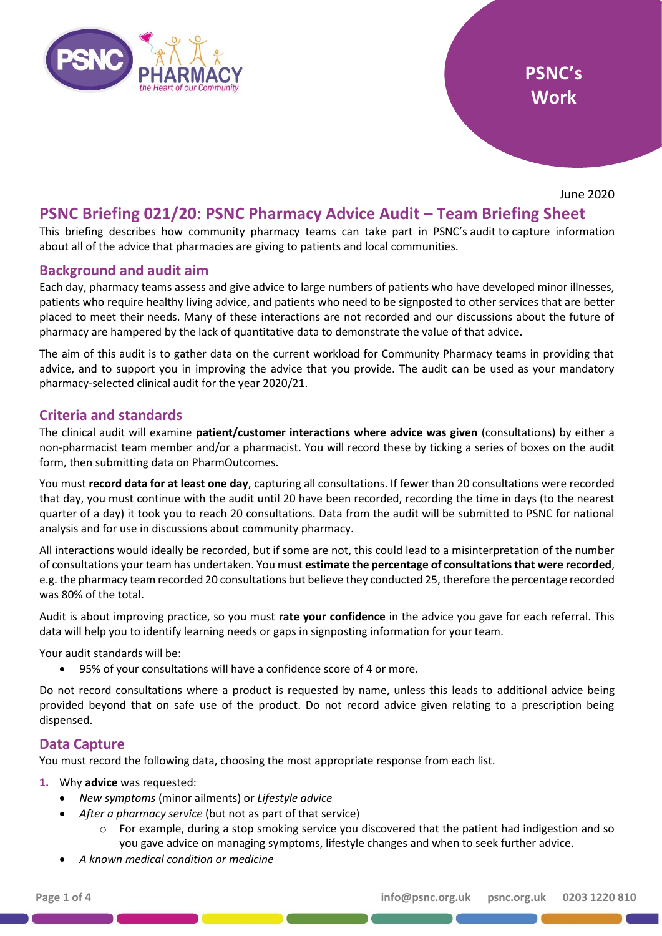

June 2020

# **PSNC Briefing 021/20: PSNC Pharmacy Advice Audit – Team Briefing Sheet**

This briefing describes how community pharmacy teams can take part in PSNC's audit to capture information about all of the advice that pharmacies are giving to patients and local communities.

## **Background and audit aim**

Each day, pharmacy teams assess and give advice to large numbers of patients who have developed minor illnesses, patients who require healthy living advice, and patients who need to be signposted to other services that are better placed to meet their needs. Many of these interactions are not recorded and our discussions about the future of pharmacy are hampered by the lack of quantitative data to demonstrate the value of that advice.

The aim of this audit is to gather data on the current workload for Community Pharmacy teams in providing that advice, and to support you in improving the advice that you provide. The audit can be used as your mandatory pharmacy-selected clinical audit for the year 2020/21.

## **Criteria and standards**

The clinical audit will examine **patient/customer interactions where advice was given** (consultations) by either a non-pharmacist team member and/or a pharmacist. You will record these by ticking a series of boxes on the audit form, then submitting data on PharmOutcomes.

You must **record data for at least one day**, capturing all consultations. If fewer than 20 consultations were recorded that day, you must continue with the audit until 20 have been recorded, recording the time in days (to the nearest quarter of a day) it took you to reach 20 consultations. Data from the audit will be submitted to PSNC for national analysis and for use in discussions about community pharmacy.

All interactions would ideally be recorded, but if some are not, this could lead to a misinterpretation of the number of consultations your team has undertaken. You must **estimate the percentage of consultations that were recorded**, e.g. the pharmacy team recorded 20 consultations but believe they conducted 25, therefore the percentage recorded was 80% of the total.

Audit is about improving practice, so you must **rate your confidence** in the advice you gave for each referral. This data will help you to identify learning needs or gaps in signposting information for your team.

Your audit standards will be:

• 95% of your consultations will have a confidence score of 4 or more.

Do not record consultations where a product is requested by name, unless this leads to additional advice being provided beyond that on safe use of the product. Do not record advice given relating to a prescription being dispensed.

#### **Data Capture**

You must record the following data, choosing the most appropriate response from each list.

#### **1.** Why **advice** was requested:

- *New symptoms* (minor ailments) or *Lifestyle advice*
	- *After a pharmacy service* (but not as part of that service)
		- $\circ$  For example, during a stop smoking service you discovered that the patient had indigestion and so you gave advice on managing symptoms, lifestyle changes and when to seek further advice.
- *A known medical condition or medicine*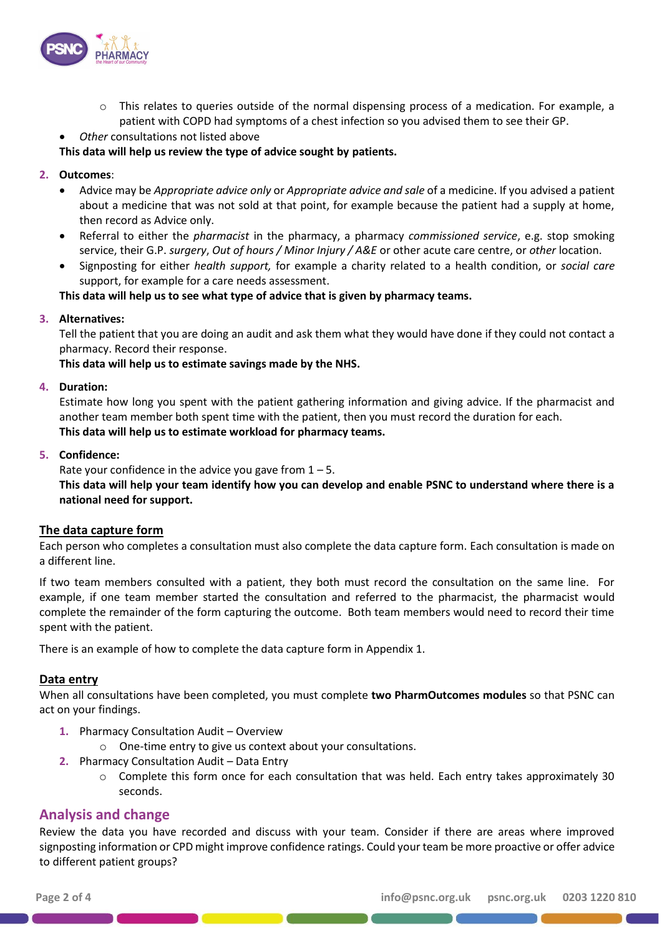

 $\circ$  This relates to queries outside of the normal dispensing process of a medication. For example, a patient with COPD had symptoms of a chest infection so you advised them to see their GP.

• *Other* consultations not listed above

## **This data will help us review the type of advice sought by patients.**

## **2. Outcomes**:

- Advice may be *Appropriate advice only* or *Appropriate advice and sale* of a medicine. If you advised a patient about a medicine that was not sold at that point, for example because the patient had a supply at home, then record as Advice only.
- Referral to either the *pharmacist* in the pharmacy, a pharmacy *commissioned service*, e.g. stop smoking service, their G.P. *surgery*, *Out of hours / Minor Injury / A&E* or other acute care centre, or *other* location.
- Signposting for either *health support,* for example a charity related to a health condition, or *social care* support, for example for a care needs assessment.

**This data will help us to see what type of advice that is given by pharmacy teams.**

## **3. Alternatives:**

Tell the patient that you are doing an audit and ask them what they would have done if they could not contact a pharmacy. Record their response.

**This data will help us to estimate savings made by the NHS.**

#### **4. Duration:**

Estimate how long you spent with the patient gathering information and giving advice. If the pharmacist and another team member both spent time with the patient, then you must record the duration for each. **This data will help us to estimate workload for pharmacy teams.**

#### **5. Confidence:**

Rate your confidence in the advice you gave from  $1 - 5$ .

**This data will help your team identify how you can develop and enable PSNC to understand where there is a national need for support.**

#### **The data capture form**

Each person who completes a consultation must also complete the data capture form. Each consultation is made on a different line.

If two team members consulted with a patient, they both must record the consultation on the same line. For example, if one team member started the consultation and referred to the pharmacist, the pharmacist would complete the remainder of the form capturing the outcome. Both team members would need to record their time spent with the patient.

There is an example of how to complete the data capture form in Appendix 1.

#### **Data entry**

When all consultations have been completed, you must complete **two PharmOutcomes modules** so that PSNC can act on your findings.

- **1.** Pharmacy Consultation Audit Overview
	- o One-time entry to give us context about your consultations.
- **2.** Pharmacy Consultation Audit Data Entry
	- $\circ$  Complete this form once for each consultation that was held. Each entry takes approximately 30 seconds.

## **Analysis and change**

Review the data you have recorded and discuss with your team. Consider if there are areas where improved signposting information or CPD might improve confidence ratings. Could your team be more proactive or offer advice to different patient groups?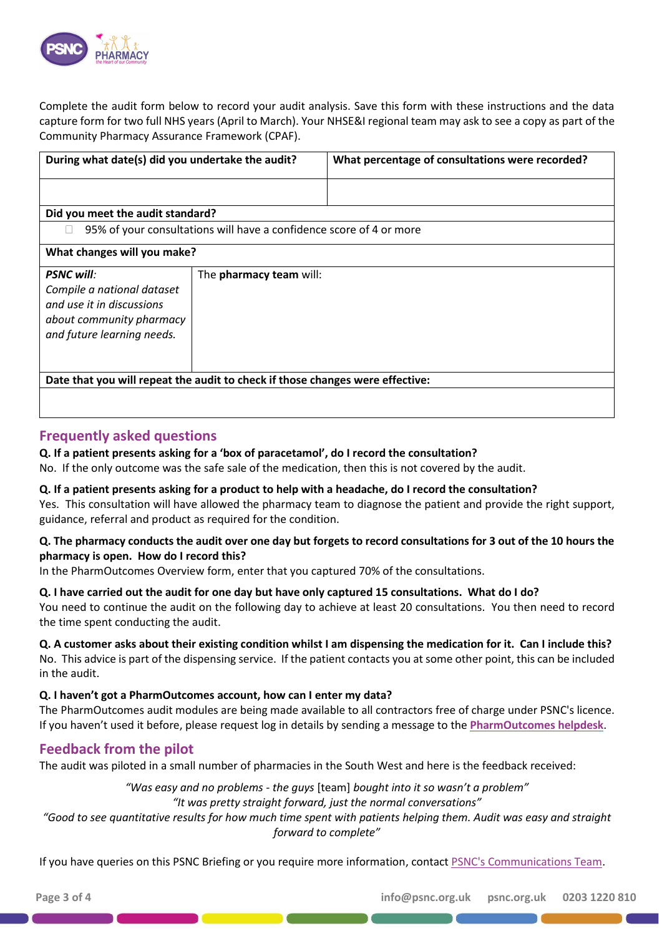

Complete the audit form below to record your audit analysis. Save this form with these instructions and the data capture form for two full NHS years (April to March). Your NHSE&I regional team may ask to see a copy as part of the Community Pharmacy Assurance Framework (CPAF).

| During what date(s) did you undertake the audit?                                                                                       |                                                                     | What percentage of consultations were recorded? |  |  |  |  |  |  |  |  |  |
|----------------------------------------------------------------------------------------------------------------------------------------|---------------------------------------------------------------------|-------------------------------------------------|--|--|--|--|--|--|--|--|--|
|                                                                                                                                        |                                                                     |                                                 |  |  |  |  |  |  |  |  |  |
| Did you meet the audit standard?                                                                                                       |                                                                     |                                                 |  |  |  |  |  |  |  |  |  |
|                                                                                                                                        | 95% of your consultations will have a confidence score of 4 or more |                                                 |  |  |  |  |  |  |  |  |  |
| What changes will you make?                                                                                                            |                                                                     |                                                 |  |  |  |  |  |  |  |  |  |
| <b>PSNC will:</b><br>Compile a national dataset<br>and use it in discussions<br>about community pharmacy<br>and future learning needs. | The pharmacy team will:                                             |                                                 |  |  |  |  |  |  |  |  |  |
| Date that you will repeat the audit to check if those changes were effective:                                                          |                                                                     |                                                 |  |  |  |  |  |  |  |  |  |
|                                                                                                                                        |                                                                     |                                                 |  |  |  |  |  |  |  |  |  |

## **Frequently asked questions**

## **Q. If a patient presents asking for a 'box of paracetamol', do I record the consultation?**

No. If the only outcome was the safe sale of the medication, then this is not covered by the audit.

#### **Q. If a patient presents asking for a product to help with a headache, do I record the consultation?**

Yes. This consultation will have allowed the pharmacy team to diagnose the patient and provide the right support, guidance, referral and product as required for the condition.

## **Q. The pharmacy conducts the audit over one day but forgets to record consultations for 3 out of the 10 hours the pharmacy is open. How do I record this?**

In the PharmOutcomes Overview form, enter that you captured 70% of the consultations.

#### **Q. I have carried out the audit for one day but have only captured 15 consultations. What do I do?**

You need to continue the audit on the following day to achieve at least 20 consultations. You then need to record the time spent conducting the audit.

# **Q. A customer asks about their existing condition whilst I am dispensing the medication for it. Can I include this?**

No. This advice is part of the dispensing service. If the patient contacts you at some other point, this can be included in the audit.

## **Q. I haven't got a PharmOutcomes account, how can I enter my data?**

The PharmOutcomes audit modules are being made available to all contractors free of charge under PSNC's licence. If you haven't used it before, please request log in details by sending a message to the **[PharmOutcomes](https://pharmoutcomes.org/pharmoutcomes/help/home#SendAMessage) helpdesk**.

# **Feedback from the pilot**

The audit was piloted in a small number of pharmacies in the South West and here is the feedback received:

*"Was easy and no problems - the guys* [team] *bought into it so wasn't a problem"*

*"It was pretty straight forward, just the normal conversations"*

*"Good to see quantitative results for how much time spent with patients helping them. Audit was easy and straight forward to complete"*

If you have queries on this PSNC Briefing or you require more information, contact [PSNC's Communications Team.](mailto:commsteam@psnc.org.uk)